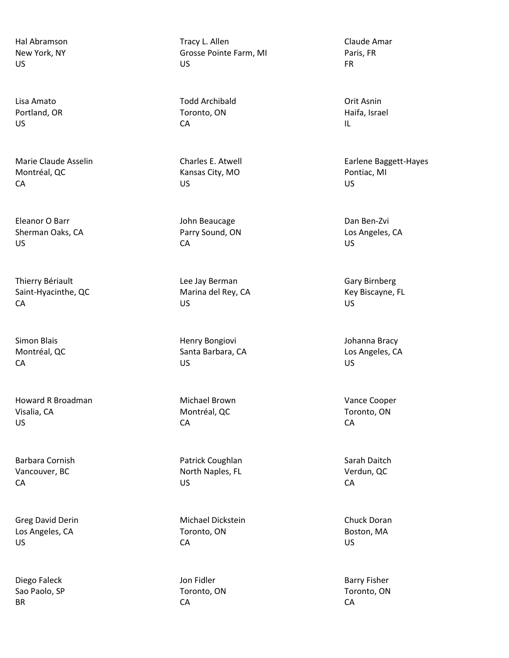Hal Abramson New York, NY US

Lisa Amato Portland, OR US

Marie Claude Asselin Montréal, QC CA

Eleanor O Barr Sherman Oaks, CA US

Thierry Bériault Saint-Hyacinthe, QC CA

Simon Blais Montréal, QC CA

Howard R Broadman Visalia, CA US

Barbara Cornish Vancouver, BC CA

Greg David Derin Los Angeles, CA US

Diego Faleck Sao Paolo, SP BR

Tracy L. Allen Grosse Pointe Farm, MI US

Todd Archibald Toronto, ON CA

Charles E. Atwell Kansas City, MO US

John Beaucage Parry Sound, ON CA

Lee Jay Berman Marina del Rey, CA US

Henry Bongiovi Santa Barbara, CA US

Michael Brown Montréal, QC CA

Patrick Coughlan North Naples, FL US

Michael Dickstein Toronto, ON CA

Jon Fidler Toronto, ON CA

Claude Amar Paris, FR FR

Orit Asnin Haifa, Israel IL

Earlene Baggett-Hayes Pontiac, MI US

Dan Ben-Zvi Los Angeles, CA US

Gary Birnberg Key Biscayne, FL US

Johanna Bracy Los Angeles, CA US

Vance Cooper Toronto, ON CA

Sarah Daitch Verdun, QC CA

Chuck Doran Boston, MA US

Barry Fisher Toronto, ON CA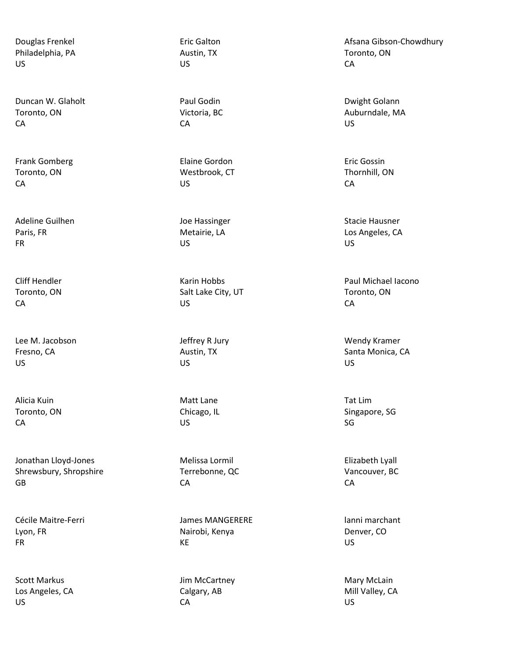Douglas Frenkel Philadelphia, PA US

Duncan W. Glaholt Toronto, ON CA

Frank Gomberg Toronto, ON CA

Adeline Guilhen Paris, FR FR

Cliff Hendler Toronto, ON CA

Lee M. Jacobson Fresno, CA US

Alicia Kuin Toronto, ON CA

Jonathan Lloyd-Jones Shrewsbury, Shropshire GB

Cécile Maitre-Ferri Lyon, FR FR

Scott Markus Los Angeles, CA US

Eric Galton Austin, TX US

Paul Godin Victoria, BC CA

Elaine Gordon Westbrook, CT US

Joe Hassinger Metairie, LA US

Karin Hobbs Salt Lake City, UT US

Jeffrey R Jury Austin, TX US

Matt Lane Chicago, IL US

Melissa Lormil Terrebonne, QC CA

James MANGERERE Nairobi, Kenya KE

Jim McCartney Calgary, AB CA

Afsana Gibson-Chowdhury Toronto, ON CA

Dwight Golann Auburndale, MA US

Eric Gossin Thornhill, ON **CA** 

Stacie Hausner Los Angeles, CA US

Paul Michael Iacono Toronto, ON CA

Wendy Kramer Santa Monica, CA US

Tat Lim Singapore, SG SG

Elizabeth Lyall Vancouver, BC CA

lanni marchant Denver, CO US

Mary McLain Mill Valley, CA US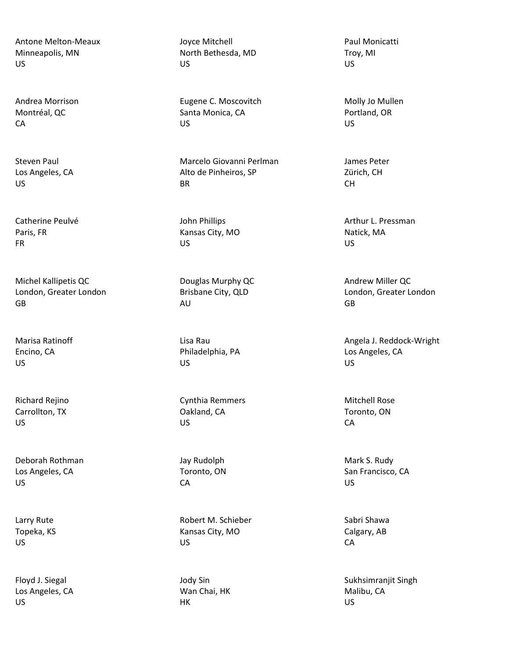Antone Melton-Meaux Minneapolis, MN US

Andrea Morrison Montréal, QC CA

Steven Paul Los Angeles, CA US

Catherine Peulvé Paris, FR FR

Michel Kallipetis QC London, Greater London GB

Marisa Ratinoff Encino, CA US

Richard Rejino Carrollton, TX US

Deborah Rothman Los Angeles, CA US

Larry Rute Topeka, KS US

Floyd J. Siegal Los Angeles, CA US

Joyce Mitchell North Bethesda, MD US

Eugene C. Moscovitch Santa Monica, CA US

Marcelo Giovanni Perlman Alto de Pinheiros, SP BR

John Phillips Kansas City, MO US

Douglas Murphy QC Brisbane City, QLD AU

Lisa Rau Philadelphia, PA US

Cynthia Remmers Oakland, CA US

Jay Rudolph Toronto, ON CA

Robert M. Schieber Kansas City, MO US

Jody Sin Wan Chai, HK HK

Paul Monicatti Troy, MI US

Molly Jo Mullen Portland, OR US

James Peter Zürich, CH CH

Arthur L. Pressman Natick, MA US

Andrew Miller QC London, Greater London GB

Angela J. Reddock-Wright Los Angeles, CA US

Mitchell Rose Toronto, ON CA

Mark S. Rudy San Francisco, CA US

Sabri Shawa Calgary, AB CA

Sukhsimranjit Singh Malibu, CA US